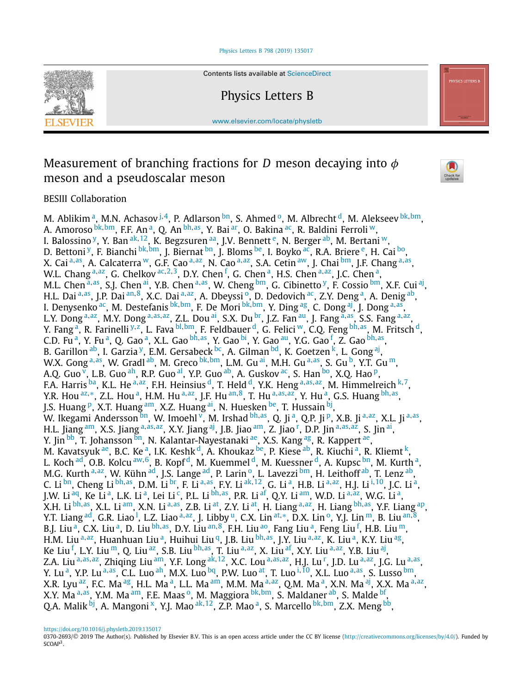# [Physics Letters B 798 \(2019\) 135017](https://doi.org/10.1016/j.physletb.2019.135017)



Contents lists available at [ScienceDirect](http://www.ScienceDirect.com/)

Physics Letters B

[www.elsevier.com/locate/physletb](http://www.elsevier.com/locate/physletb)

# Measurement of branching fractions for *D* meson decaying into *φ* meson and a pseudoscalar meson



BESIII Collaboration

M. Ablikim<sup>a</sup>, M.N. Achasov <sup>[j](#page-1-0), 4</sup>, P. Adlarson <sup>bn</sup>, S. Ahmed <sup>0</sup>, M. Albrecht <sup>d</sup>, M. Alekseev <sup>[bk](#page-2-0), bm</sup>, A. Amoroso <sup>[bk](#page-2-0), bm</sup>, F.F. An<sup>a</sup>, Q. An <sup>[bh](#page-2-0), as</sup>, Y. Bai <sup>ar</sup>, O. Bakina <sup>ac</sup>, R. Baldini Ferroli <sup>w</sup>, I. Balossino <sup>y</sup>, Y. Ban <sup>[ak](#page-2-0), 12</sup>, K. Begzsuren <sup>aa</sup>, J.V. Bennett<sup>e</sup>, N. Berger <sup>ab</sup>, M. Bertani <sup>w</sup>, D. Bettoni [y,](#page-1-0) F. Bianchi [bk](#page-2-0)*,*[bm,](#page-2-0) J. Biernat [bn,](#page-2-0) J. Bloms [be,](#page-2-0) I. Boyko [ac,](#page-2-0) R.A. Briere [e,](#page-1-0) H. Cai [bo,](#page-2-0) X. Cai [a](#page-1-0)*,*[as,](#page-2-0) A. Calcaterra [w,](#page-1-0) G.F. Cao [a](#page-1-0)*,*[az,](#page-2-0) N. Cao [a](#page-1-0)*,*[az,](#page-2-0) S.A. Cetin [aw,](#page-2-0) J. Chai [bm,](#page-2-0) J.F. Chang [a](#page-1-0)*,*[as,](#page-2-0) W.L. Ch[a](#page-1-0)ng <sup>a,az</sup>, G. Chelkov <sup>[ac](#page-2-0),[2](#page-2-0),3</sup>, D.Y. Chen <sup>[f](#page-1-0)</sup>, G. Chen <sup>a</sup>, H.S. Chen <sup>[a,](#page-1-0) az</sup>, J.C. Chen <sup>a</sup>, M.L. Chen <sup>[a](#page-1-0), as</sup>, S.J. Chen <sup>ai</sup>, Y.B. Chen <sup>a, as</sup>, W. Cheng <sup>bm</sup>, G. Cibinetto <sup>y</sup>, F. Cossio <sup>bm</sup>, X.F. Cui <sup>aj</sup>, H.L. Dai [a](#page-1-0)*,*[as,](#page-2-0) J.P. Dai [an](#page-2-0)*,*[8,](#page-2-0) X.C. Dai [a](#page-1-0)*,*[az,](#page-2-0) A. Dbeyssi [o,](#page-1-0) D. Dedovich [ac,](#page-2-0) Z.Y. Deng [a,](#page-1-0) A. Denig [ab,](#page-2-0) I. Denysenko [ac,](#page-2-0) M. Destefanis [bk](#page-2-0)*,*[bm,](#page-2-0) F. De Mori [bk](#page-2-0)*,*[bm,](#page-2-0) Y. Ding [ag,](#page-2-0) C. Dong [aj](#page-2-0), J. Dong [a](#page-1-0)*,*[as,](#page-2-0) L.Y. Dong [a](#page-1-0)*,*[az,](#page-2-0) M.Y. Dong [a](#page-1-0)*,*[as](#page-2-0)*,*[az,](#page-2-0) Z.L. Dou [ai,](#page-2-0) S.X. Du [br,](#page-2-0) J.Z. Fan [au,](#page-2-0) J. Fang [a](#page-1-0)*,*[as,](#page-2-0) S.S. Fang [a](#page-1-0)*,*[az,](#page-2-0) Y. Fang [a,](#page-1-0) R. Farinelli [y](#page-1-0)*,*[z,](#page-2-0) L. Fava [bl](#page-2-0)*,*[bm,](#page-2-0) F. Feldbauer [d,](#page-1-0) G. Felici [w,](#page-1-0) C.Q. Feng [bh](#page-2-0)*,*[as,](#page-2-0) M. Fritsch [d,](#page-1-0) C.D. Fu<sup>a</sup>, Y. Fu<sup>a</sup>, Q. Gao<sup>a</sup>, X.L. Gao <sup>[bh](#page-2-0),as</sup>, Y. Gao <sup>bi</sup>, Y. Gao <sup>au</sup>, Y.G. Gao <sup>[f](#page-1-0)</sup>, Z. Gao <sup>bh,as</sup>, B. Garillon  $^{ab}$ , I. Garzia [y,](#page-1-0) E.M. Gersabeck  $^{bc}$ , A. Gilman  $^{bd}$ , K. Goetzen [k,](#page-1-0) L. Gong [aj](#page-2-0), W.X. Gong<sup>[a](#page-1-0),as</sup>, W. Gradl<sup>ab</sup>, M. Greco bk,bm, L.M. Gu ai, M.H. Gu a,[as,](#page-2-0) S. Gu [b,](#page-1-0) Y.T. Gu [m,](#page-1-0) A.Q. Guo  $\overline{v}$ , L.B. Guo <sup>ah</sup>, R.P. Guo <sup>al</sup>, Y.P. Guo <sup>ab</sup>, A. Guskov <sup>ac</sup>, S. Han <sup>bo</sup>, X.Q. Hao <sup>p</sup>, F.A. Harris [ba,](#page-2-0) K.L. He [a](#page-1-0)*,*[az,](#page-2-0) F.H. Heinsius [d,](#page-1-0) T. Held [d,](#page-1-0) Y.K. Heng [a](#page-1-0)*,*[as](#page-2-0)*,*[az,](#page-2-0) M. Himmelreich [k](#page-1-0)*,*[7,](#page-2-0) Y.R. Hou <sup>[az](#page-2-0),\*</sup>, Z.L. Hou <sup>a</sup>, H.M. Hu <sup>[a,](#page-1-0) [a](#page-1-0)z</sup>, J.F. Hu <sup>[an](#page-2-0), 8</sup>, T. Hu <sup>a, [as](#page-2-0), az</sup>, Y. Hu <sup>a</sup>, G.S. Huang <sup>[bh](#page-2-0), as</sup>, J.S. Huang <sup>p</sup>, X.T. Huang [am,](#page-2-0) X.Z. Huang [ai,](#page-2-0) N. Huesken [be,](#page-2-0) T. Hussain [bj,](#page-2-0) W. Ikegami Andersson [bn,](#page-2-0) W. Imoehl [v,](#page-1-0) M. Irshad [bh](#page-2-0), [as,](#page-2-0) Q. Ji <sup>a</sup>, Q.P. Ji <sup>p</sup>, X.B. Ji <sup>[a,](#page-1-0) [a](#page-1-0)z</sup>, X.L. Ji <sup>a, as</sup>, H.L. Jiang [am,](#page-2-0) X.S. Jiang [a](#page-1-0)*,*[as](#page-2-0)*,*[az,](#page-2-0) X.Y. Jiang [aj,](#page-2-0) J.B. Jiao [am,](#page-2-0) Z. Jiao [r](#page-1-0) , D.P. Jin [a](#page-1-0)*,*[as](#page-2-0)*,*[az,](#page-2-0) S. Jin [ai,](#page-2-0) Y. Jin [bb,](#page-2-0) T. Johansson [bn,](#page-2-0) N. Kalantar-Nayestanaki <sup>ae</sup>, X.S. Kang <sup>ag</sup>, R. Kappert <sup>ae</sup>, M. Kavatsyuk <sup>ae</sup>, B.C. Ke<sup>a</sup>, I.K. Keshk<sup>d</sup>, A. Khoukaz <sup>be</sup>, P. Kiese <sup>ab</sup>, R. Kiuchi<sup>a</sup>, R. Kliemt<sup>k</sup>, L. Koch [ad,](#page-2-0) O.B. Kolcu [aw](#page-2-0), [6,](#page-2-0) B. Kopf [d,](#page-1-0) M. Kuemmel d, M. Kuessner d, A. Kupsc [bn,](#page-2-0) M. Kurth [a,](#page-1-0) M.G. Kurth [a](#page-1-0), [az,](#page-2-0) W. Kühn [ad,](#page-2-0) J.S. Lange ad, P. Larin<sup>o</sup>, L. Lavezzi [bm,](#page-2-0) H. Leithoff [ab,](#page-2-0) T. Lenz ab, C. Li [bn,](#page-2-0) Cheng Li [bh](#page-2-0)*,*[as,](#page-2-0) D.M. Li [br,](#page-2-0) F. Li [a](#page-1-0)*,*[as,](#page-2-0) F.Y. Li [ak](#page-2-0)*,*[12,](#page-3-0) G. Li [a,](#page-1-0) H.B. Li [a](#page-1-0)*,*[az,](#page-2-0) H.J. Li [i](#page-1-0)*,*[10,](#page-3-0) J.C. Li [a,](#page-1-0) J.W. Li [aq,](#page-2-0) Ke Li [a,](#page-1-0) L.K. Li [a,](#page-1-0) Lei Li [c,](#page-1-0) P.L. Li [bh](#page-2-0)*,*[as,](#page-2-0) P.R. Li [af,](#page-2-0) Q.Y. Li [am,](#page-2-0) W.D. Li [a](#page-1-0)*,*[az,](#page-2-0) W.G. Li [a,](#page-1-0) X.H. Li [bh](#page-2-0)*,*[as,](#page-2-0) X.L. Li [am,](#page-2-0) X.N. Li [a](#page-1-0)*,*[as,](#page-2-0) Z.B. Li [at,](#page-2-0) Z.Y. Li [at,](#page-2-0) H. Liang [a](#page-1-0)*,*[az,](#page-2-0) H. Liang [bh](#page-2-0)*,*[as,](#page-2-0) Y.F. Liang [ap,](#page-2-0) Y.T. Liang <sup>ad</sup>, G.R. Liao <sup>[l](#page-1-0)</sup>, L.Z. Li[a](#page-1-0)o <sup>a,az</sup>, J. Libby <sup>u</sup>, C.X. Lin <sup>[at](#page-2-0),</sup>\*, D.X. Lin <sup>[o](#page-1-0)</sup>, Y.J. Lin ™, B. Liu <sup>[an](#page-2-0),8</sup>, B.J. Liu <sup>a</sup>, C.X. Liu <sup>a</sup>, D. Liu <sup>[bh](#page-2-0),as</sup>, D.Y. Liu <sup>[an](#page-2-0), 8</sup>, F.H. Liu <sup>ao</sup>, Fang Liu <sup>a</sup>, Feng Liu <sup>[f](#page-1-0)</sup>, H.B. Liu <sup>m</sup>, H.M. Liu<sup>[a](#page-1-0),az</sup>, Huanhuan Liu<sup>a</sup>, Huihui Liu<sup>q</sup>, J.B. Liu<sup>bh,as</sup>, J.Y. Liu<sup>[a,](#page-1-0)az</sup>, K. Liu<sup>a</sup>, K.Y. Liu<sup>ag</sup>, Ke Liu [f](#page-1-0) , L.Y. Liu [m,](#page-1-0) Q. Liu [az,](#page-2-0) S.B. Liu [bh](#page-2-0)*,*[as,](#page-2-0) T. Liu [a](#page-1-0)*,*[az,](#page-2-0) X. Liu [af,](#page-2-0) X.Y. Liu [a](#page-1-0)*,*[az,](#page-2-0) Y.B. Liu [aj](#page-2-0), Z.A. Liu [a](#page-1-0)*,*[as](#page-2-0)*,*[az,](#page-2-0) Zhiqing Liu [am,](#page-2-0) Y.F. Long [ak](#page-2-0)*,*[12,](#page-3-0) X.C. Lou [a](#page-1-0)*,*[as](#page-2-0)*,*[az,](#page-2-0) H.J. Lu [r](#page-1-0) , J.D. Lu [a](#page-1-0)*,*[az,](#page-2-0) J.G. Lu [a](#page-1-0)*,*[as,](#page-2-0) Y. Lu<sup>a</sup>, Y.P. Lu<sup>[a,](#page-1-0)[a](#page-1-0)s</sup>, C.L. Luo ah, M.X. Luo <sup>bq</sup>, P.W. Luo at, T. Luo <sup>i,10</sup>, X.L. Luo a,[as,](#page-2-0) S. Lusso <sup>bm</sup>, X.R. Lyu<sup>az</sup>, F.C. Ma<sup>ag</sup>, H.L. Ma<sup>a</sup>, L.L. Ma<sup>am</sup>, M.M. Ma<sup>[a,](#page-1-0)[a](#page-1-0)z</sup>, Q.M. Ma<sup>a</sup>, X.N. Ma<sup>aj</sup>, X.X. Ma<sup>a,az</sup>, X.Y. M[a](#page-1-0)<sup>a,as</sup>, Y.M. Ma<sup>am</sup>, F.E. Maas<sup>o</sup>, M. Maggiora [bk](#page-2-0), [bm,](#page-2-0) S. Maldaner [ab,](#page-2-0) S. Malde [bf,](#page-2-0) Q.A. Malik <sup>bj</sup>, A. Mangoni<sup>x</sup>, Y.J. Mao <sup>[ak](#page-2-0), 12</sup>, Z.P. Mao <sup>a</sup>, S. Marcello <sup>[bk](#page-2-0), bm</sup>, Z.X. Meng <sup>bb</sup>,

<https://doi.org/10.1016/j.physletb.2019.135017>

<sup>0370-2693/© 2019</sup> The Author(s). Published by Elsevier B.V. This is an open access article under the CC BY license [\(http://creativecommons.org/licenses/by/4.0/\)](http://creativecommons.org/licenses/by/4.0/). Funded by SCOAP3.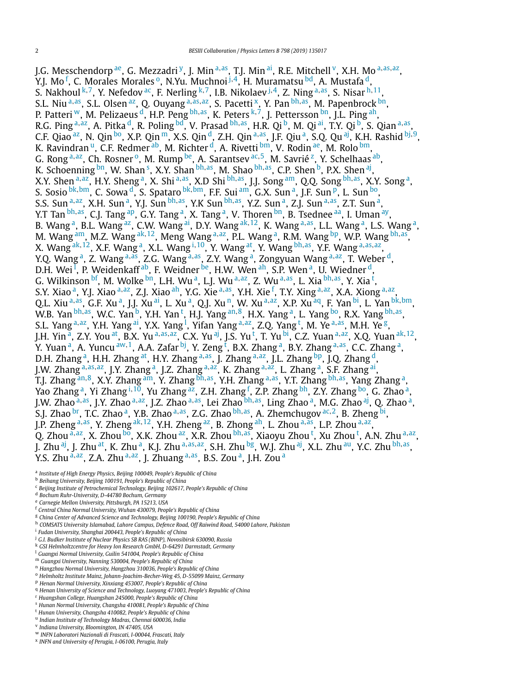<span id="page-1-0"></span>J.G. Messchendorp [ae,](#page-2-0) G. Mezzadri y, J. Min <sup>a</sup>*,*[as,](#page-2-0) T.J. Min [ai,](#page-2-0) R.E. Mitchell v, X.H. Mo <sup>a</sup>*,*[as](#page-2-0)*,*[az,](#page-2-0) Y.J. Mo<sup>f</sup>, C. Morales Morales <sup>o</sup>, N.Yu. Muchnoi <sup>j,4</sup>, H. Muramatsu <sup>bd</sup>, A. Mustafa <sup>d</sup>, S. Nakhoul <sup>k</sup>*,*[7,](#page-2-0) Y. Nefedov [ac,](#page-2-0) F. Nerling <sup>k</sup>*,*[7,](#page-2-0) I.B. Nikolaev <sup>j</sup>*,*[4,](#page-2-0) Z. Ning <sup>a</sup>*,*[as,](#page-2-0) S. Nisar <sup>h</sup>*,*[11,](#page-3-0) S.L. Niu <sup>a</sup>*,*[as,](#page-2-0) S.L. Olsen [az,](#page-2-0) Q. Ouyang <sup>a</sup>*,*[as](#page-2-0)*,*[az,](#page-2-0) S. Pacetti x, Y. Pan [bh](#page-2-0)*,*[as,](#page-2-0) M. Papenbrock [bn,](#page-2-0) P. Patteri <sup>w</sup>, M. Pelizaeus <sup>d</sup>, H.P. Peng <sup>[bh](#page-2-0),as</sup>, K. Peters <sup>k, 7</sup>, J. Pettersson <sup>bn</sup>, J.L. Ping <sup>ah</sup>, R.G. Ping <sup>a</sup>*,*[az,](#page-2-0) A. Pitka d, R. Poling [bd,](#page-2-0) V. Prasad [bh](#page-2-0)*,*[as,](#page-2-0) H.R. Qi b, M. Qi [ai,](#page-2-0) T.Y. Qi b, S. Qian <sup>a</sup>*,*[as,](#page-2-0) C.F. Qiao [az,](#page-2-0) N. Qin [bo,](#page-2-0) X.P. Qin m, X.S. Qin d, Z.H. Qin <sup>a</sup>*,*[as,](#page-2-0) J.F. Qiu a, S.Q. Qu [aj](#page-2-0), K.H. Rashid [bj](#page-2-0)*,*[9,](#page-3-0) K. Ravindran <sup>u</sup>, C.F. Redmer <sup>ab</sup>, M. Richter <sup>d</sup>, A. Rivetti <sup>bm</sup>, V. Rodin <sup>ae</sup>, M. Rolo <sup>bm</sup>, G. Rong a, [az,](#page-2-0) Ch. Rosner<sup>o</sup>, M. Rump [be,](#page-2-0) A. Sarantsev [ac](#page-2-0)<sub>, 5</sub>, M. Savrié<sup>z</sup>, Y. Schelhaas [ab,](#page-2-0) K. Schoenning <sup>bn</sup>, W. Shan <sup>s</sup>, X.Y. Shan <sup>[bh](#page-2-0),as</sup>, M. Shao <sup>bh,as</sup>, C.P. Shen <sup>b</sup>, P.X. Shen <sup>[aj](#page-2-0)</sup>, X.Y. Shen <sup>a</sup>*,*[az,](#page-2-0) H.Y. Sheng a, X. Shi <sup>a</sup>*,*[as,](#page-2-0) X.D Shi [bh](#page-2-0)*,*[as,](#page-2-0) J.J. Song [am,](#page-2-0) Q.Q. Song [bh](#page-2-0)*,*[as,](#page-2-0) X.Y. Song a, S. Sosio [bk](#page-2-0)*,*[bm,](#page-2-0) C. Sowa d, S. Spataro [bk](#page-2-0)*,*[bm,](#page-2-0) F.F. Sui [am,](#page-2-0) G.X. Sun a, J.F. Sun p, L. Sun [bo,](#page-2-0) S.S. Sun <sup>a</sup>*,*[az,](#page-2-0) X.H. Sun a, Y.J. Sun [bh](#page-2-0)*,*[as,](#page-2-0) Y.K Sun [bh](#page-2-0)*,*[as,](#page-2-0) Y.Z. Sun a, Z.J. Sun <sup>a</sup>*,*[as,](#page-2-0) Z.T. Sun a, Y.T Tan <sup>[bh](#page-2-0),as</sup>, C.J. Tang <sup>ap</sup>, G.Y. Tang <sup>a</sup>, X. Tang <sup>a</sup>, V. Thoren <sup>bn</sup>, B. Tsednee <sup>aa</sup>, I. Uman <sup>ay</sup>, B. Wang <sup>a</sup>, B.L. Wang <sup>az</sup>, C.W. Wang <sup>ai</sup>, D.Y. Wang <sup>[ak](#page-2-0), 12</sup>, K. Wang <sup>a, as</sup>, L.L. Wang <sup>a</sup>, L.S. Wang <sup>a</sup>, M. Wang <sup>am</sup>, M.Z. Wang <sup>[ak](#page-2-0), 12</sup>, Meng Wang <sup>a, az</sup>, P.L. Wang <sup>a</sup>, R.M. Wang <sup>bp</sup>, W.P. Wang <sup>[bh](#page-2-0), as</sup>, X. Wang [ak](#page-2-0)*,*[12,](#page-3-0) X.F. Wang a, X.L. Wang <sup>i</sup>*,*[10,](#page-3-0) Y. Wang [at,](#page-2-0) Y. Wang [bh](#page-2-0)*,*[as,](#page-2-0) Y.F. Wang <sup>a</sup>*,*[as](#page-2-0)*,*[az,](#page-2-0) Y.Q. Wang a, Z. Wang <sup>a</sup>*,*[as,](#page-2-0) Z.G. Wang <sup>a</sup>*,*[as,](#page-2-0) Z.Y. Wang a, Zongyuan Wang <sup>a</sup>*,*[az,](#page-2-0) T. Weber d, D.H. Wei <sup>l</sup>, P. Weidenkaff <sup>ab</sup>, F. Weidner <sup>be</sup>, H.W. Wen <sup>ah</sup>, S.P. Wen <sup>a</sup>, U. Wiedner <sup>d</sup>, G. Wilkinson <sup>bf</sup>, M. Wolke <sup>bn</sup>, L.H. Wu <sup>a</sup>, L.J. Wu <sup>a, az</sup>, Z. Wu <sup>a, as</sup>, L. Xia <sup>[bh](#page-2-0), as</sup>, Y. Xia <sup>t</sup>, S.Y. Xiao a, Y.J. Xiao <sup>a</sup>*,*[az,](#page-2-0) Z.J. Xiao [ah,](#page-2-0) Y.G. Xie <sup>a</sup>*,*[as,](#page-2-0) Y.H. Xie <sup>f</sup> , T.Y. Xing <sup>a</sup>*,*[az,](#page-2-0) X.A. Xiong <sup>a</sup>*,*[az,](#page-2-0) Q.L. Xiu a, [as,](#page-2-0) G.F. Xu a, J.J. Xu [ai,](#page-2-0) L. Xu a, Q.J. Xu <sup>n</sup>, W. Xu a, [az,](#page-2-0) X.P. Xu [aq,](#page-2-0) F. Yan [bi,](#page-2-0) L. Yan [bk](#page-2-0), [bm,](#page-2-0) W.B. Yan <sup>[bh](#page-2-0),as</sup>, W.C. Y[an](#page-2-0) <sup>b</sup>, Y.H. Yan <sup>t</sup>, H.J. Yang <sup>an,8</sup>, H.X. Yang <sup>a</sup>, L. Yang <sup>bo</sup>, R.X. Yang <sup>bh,as</sup>, S.L. Yang <sup>a,az</sup>, Y.H. Yang <sup>ai</sup>, Y.X. Yang <sup>l</sup>, Yifan Yang <sup>a,az</sup>, Z.Q. Yang <sup>t</sup>, M. Ye <sup>a,as</sup>, M.H. Ye <sup>g</sup>, J.H. Yin a, Z.Y. You [at,](#page-2-0) B.X. Yu <sup>a</sup>*,*[as](#page-2-0)*,*[az,](#page-2-0) C.X. Yu [aj,](#page-2-0) J.S. Yu <sup>t</sup> , T. Yu [bi,](#page-2-0) C.Z. Yuan <sup>a</sup>*,*[az,](#page-2-0) X.Q. Yuan [ak](#page-2-0)*,*[12,](#page-3-0) Y. Yuan <sup>a</sup>, A. Yuncu <sup>[aw](#page-2-0), 1</sup>, A.A. Zafar <sup>bj</sup>, Y. Zeng <sup>t</sup>, B.X. Zhang <sup>a</sup>, B.Y. Zhang <sup>a, as</sup>, C.C. Zhang <sup>a</sup>, D.H. Zhang<sup>a</sup>, H.H. Zhang [at,](#page-2-0) H.Y. Zhang a, [as,](#page-2-0) J. Zhang a, [az,](#page-2-0) J.L. Zhang <sup>bp</sup>, J.Q. Zhang d, J.W. Zhang <sup>a</sup>*,*[as](#page-2-0)*,*[az,](#page-2-0) J.Y. Zhang a, J.Z. Zhang <sup>a</sup>*,*[az,](#page-2-0) K. Zhang <sup>a</sup>*,*[az,](#page-2-0) L. Zhang a, S.F. Zhang [ai,](#page-2-0) T.J. Zhang [an](#page-2-0)*,*[8,](#page-2-0) X.Y. Zhang [am,](#page-2-0) Y. Zhang [bh](#page-2-0)*,*[as,](#page-2-0) Y.H. Zhang <sup>a</sup>*,*[as,](#page-2-0) Y.T. Zhang [bh](#page-2-0)*,*[as,](#page-2-0) Yang Zhang a, Yao Zhang <sup>a</sup>, Yi Zhang <sup>i, 10</sup>, Yu Zhang <sup>az</sup>, Z.H. Zhang <sup>f</sup>, Z.P. Zhang <sup>bh</sup>, Z.Y. Zhang <sup>bo</sup>, G. Zhao <sup>a</sup>, J.W. Zhao <sup>a</sup>*,*[as,](#page-2-0) J.Y. Zhao <sup>a</sup>*,*[az,](#page-2-0) J.Z. Zhao <sup>a</sup>*,*[as,](#page-2-0) Lei Zhao [bh](#page-2-0)*,*[as,](#page-2-0) Ling Zhao a, M.G. Zhao [aj](#page-2-0), Q. Zhao a, S.J. Zhao [br,](#page-2-0) T.C. Zhao a, Y.B. Zhao <sup>a</sup>*,*[as,](#page-2-0) Z.G. Zhao [bh](#page-2-0)*,*[as,](#page-2-0) A. Zhemchugov [ac](#page-2-0)*,*[2,](#page-2-0) B. Zheng [bi,](#page-2-0) J.P. Zheng <sup>a</sup>*,*[as,](#page-2-0) Y. Zheng [ak](#page-2-0)*,*[12,](#page-3-0) Y.H. Zheng [az,](#page-2-0) B. Zhong [ah,](#page-2-0) L. Zhou <sup>a</sup>*,*[as,](#page-2-0) L.P. Zhou <sup>a</sup>*,*[az,](#page-2-0) Q. Zhou <sup>a,az</sup>, X. Zhou <sup>bo</sup>, X.K. Zhou <sup>az</sup>, X.R. Zhou <sup>[bh](#page-2-0),as</sup>, Xiaoyu Zhou <sup>t</sup>, Xu Zhou <sup>t</sup>, A.N. Zhu <sup>a,az</sup>, J. Zhu [aj,](#page-2-0) J. Zhu [at,](#page-2-0) K. Zhu a, K.J. Zhu <sup>a</sup>*,*[as](#page-2-0)*,*[az,](#page-2-0) S.H. Zhu [bg,](#page-2-0) W.J. Zhu [aj](#page-2-0), X.L. Zhu [au,](#page-2-0) Y.C. Zhu [bh](#page-2-0)*,*[as,](#page-2-0) Y.S. Zhu <sup>a</sup>*,*[az,](#page-2-0) Z.A. Zhu <sup>a</sup>*,*[az,](#page-2-0) J. Zhuang <sup>a</sup>*,*[as,](#page-2-0) B.S. Zou a, J.H. Zou <sup>a</sup>

<sup>a</sup> *Institute of High Energy Physics, Beijing 100049, People's Republic of China*

<sup>b</sup> *Beihang University, Beijing 100191, People's Republic of China*

<sup>c</sup> *Beijing Institute of Petrochemical Technology, Beijing 102617, People's Republic of China*

- <sup>e</sup> *Carnegie Mellon University, Pittsburgh, PA 15213, USA*
- <sup>f</sup> *Central China Normal University, Wuhan 430079, People's Republic of China*
- <sup>g</sup> *China Center of Advanced Science and Technology, Beijing 100190, People's Republic of China*
- <sup>h</sup> *COMSATS University Islamabad, Lahore Campus, Defence Road, Off Raiwind Road, 54000 Lahore, Pakistan*
- <sup>i</sup> *Fudan University, Shanghai 200443, People's Republic of China*
- <sup>j</sup> *G.I. Budker Institute of Nuclear Physics SB RAS (BINP), Novosibirsk 630090, Russia*
- <sup>k</sup> *GSI Helmholtzcentre for Heavy Ion Research GmbH, D-64291 Darmstadt, Germany*
- <sup>l</sup> *Guangxi Normal University, Guilin 541004, People's Republic of China*
- <sup>m</sup> *Guangxi University, Nanning 530004, People's Republic of China*
- <sup>n</sup> *Hangzhou Normal University, Hangzhou 310036, People's Republic of China*
- <sup>o</sup> *Helmholtz Institute Mainz, Johann-Joachim-Becher-Weg 45, D-55099 Mainz, Germany*
- <sup>p</sup> *Henan Normal University, Xinxiang 453007, People's Republic of China*
- <sup>q</sup> *Henan University of Science and Technology, Luoyang 471003, People's Republic of China*
- <sup>r</sup> *Huangshan College, Huangshan 245000, People's Republic of China*
- <sup>s</sup> *Hunan Normal University, Changsha 410081, People's Republic of China*
- <sup>t</sup> *Hunan University, Changsha 410082, People's Republic of China*
- <sup>u</sup> *Indian Institute of Technology Madras, Chennai 600036, India*
- <sup>v</sup> *Indiana University, Bloomington, IN 47405, USA*
- <sup>w</sup> *INFN Laboratori Nazionali di Frascati, I-00044, Frascati, Italy*
- <sup>x</sup> *INFN and University of Perugia, I-06100, Perugia, Italy*

<sup>d</sup> *Bochum Ruhr-University, D-44780 Bochum, Germany*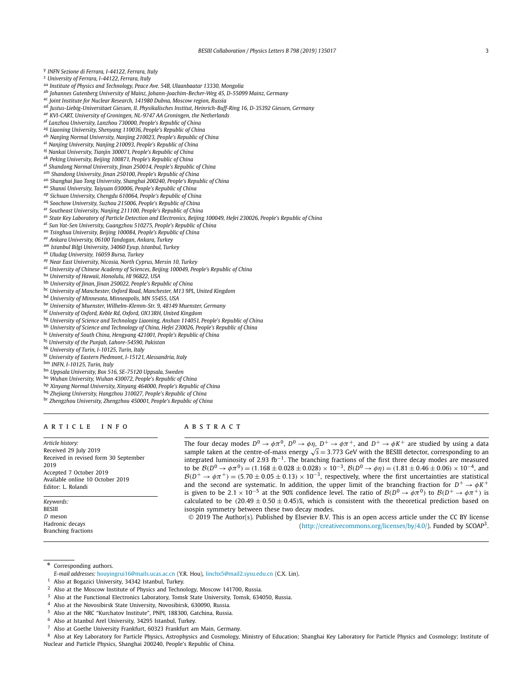<span id="page-2-0"></span><sup>y</sup> *INFN Sezione di Ferrara, I-44122, Ferrara, Italy*

<sup>z</sup> *University of Ferrara, I-44122, Ferrara, Italy*

- aa *Institute of Physics and Technology, Peace Ave. 54B, Ulaanbaatar 13330, Mongolia*
- ab *Johannes Gutenberg University of Mainz, Johann-Joachim-Becher-Weg 45, D-55099 Mainz, Germany*
- ac *Joint Institute for Nuclear Research, 141980 Dubna, Moscow region, Russia*
- ad *Justus-Liebig-Universitaet Giessen, II. Physikalisches Institut, Heinrich-Buff-Ring 16, D-35392 Giessen, Germany*
- ae *KVI-CART, University of Groningen, NL-9747 AA Groningen, the Netherlands*
- af *Lanzhou University, Lanzhou 730000, People's Republic of China*
- ag *Liaoning University, Shenyang 110036, People's Republic of China*
- ah *Nanjing Normal University, Nanjing 210023, People's Republic of China*
- ai *Nanjing University, Nanjing 210093, People's Republic of China*
- aj *Nankai University, Tianjin 300071, People's Republic of China*
- ak *Peking University, Beijing 100871, People's Republic of China*
- al *Shandong Normal University, Jinan 250014, People's Republic of China*
- am *Shandong University, Jinan 250100, People's Republic of China*
- an *Shanghai Jiao Tong University, Shanghai 200240, People's Republic of China* ao *Shanxi University, Taiyuan 030006, People's Republic of China*
- 
- ap *Sichuan University, Chengdu 610064, People's Republic of China*
- aq *Soochow University, Suzhou 215006, People's Republic of China*
- ar *Southeast University, Nanjing 211100, People's Republic of China*
- as State Key Laboratory of Particle Detection and Electronics, Beijing 100049, Hefei 230026, People's Republic of China
- at *Sun Yat-Sen University, Guangzhou 510275, People's Republic of China*
- au *Tsinghua University, Beijing 100084, People's Republic of China*
- av *Ankara University, 06100 Tandogan, Ankara, Turkey*
- aw *Istanbul Bilgi University, 34060 Eyup, Istanbul, Turkey*
- ax *Uludag University, 16059 Bursa, Turkey*
- ay *Near East University, Nicosia, North Cyprus, Mersin 10, Turkey*
- az *University of Chinese Academy of Sciences, Beijing 100049, People's Republic of China*
- ba *University of Hawaii, Honolulu, HI 96822, USA*
- bb *University of Jinan, Jinan 250022, People's Republic of China*
- bc *University of Manchester, Oxford Road, Manchester, M13 9PL, United Kingdom*
- bd *University of Minnesota, Minneapolis, MN 55455, USA*
- be *University of Muenster, Wilhelm-Klemm-Str. 9, 48149 Muenster, Germany*
- bf *University of Oxford, Keble Rd, Oxford, OX13RH, United Kingdom*
- bg *University of Science and Technology Liaoning, Anshan 114051, People's Republic of China*
- bh *University of Science and Technology of China, Hefei 230026, People's Republic of China*
- bi *University of South China, Hengyang 421001, People's Republic of China*
- bj *University of the Punjab, Lahore-54590, Pakistan*
- bk *University of Turin, I-10125, Turin, Italy*
- bl *University of Eastern Piedmont, I-15121, Alessandria, Italy*
- bm *INFN, I-10125, Turin, Italy*
- bn *Uppsala University, Box 516, SE-75120 Uppsala, Sweden*
- bo *Wuhan University, Wuhan 430072, People's Republic of China*
- bp *Xinyang Normal University, Xinyang 464000, People's Republic of China*
- bq *Zhejiang University, Hangzhou 310027, People's Republic of China*
- br *Zhengzhou University, Zhengzhou 450001, People's Republic of China*

# A R T I C L E I N F O A B S T R A C T

*Article history:* Received 29 July 2019 Received in revised form 30 September 2019 Accepted 7 October 2019 Available online 10 October 2019 Editor: L. Rolandi

*Keywords:* BESIII *D* meson Hadronic decays Branching fractions The four decay modes  $D^0 \to \phi \pi^0$ ,  $D^0 \to \phi \eta$ ,  $D^+ \to \phi \pi^+$ , and  $D^+ \to \phi K^+$  are studied by using a data sample taken at the centre-of-mass energy <sup>√</sup>*<sup>s</sup>* <sup>=</sup> <sup>3</sup>*.*773 GeV with the BESIII detector, corresponding to an integrated luminosity of 2.93 fb<sup>−</sup>1. The branching fractions of the first three decay modes are measured to be  $B(D^0 \to \phi \pi^0) = (1.168 \pm 0.028 \pm 0.028) \times 10^{-3}$ ,  $B(D^0 \to \phi \eta) = (1.81 \pm 0.46 \pm 0.06) \times 10^{-4}$ , and  $B(D^+ \rightarrow \phi \pi^+) = (5.70 \pm 0.05 \pm 0.13) \times 10^{-3}$ , respectively, where the first uncertainties are statistical and the second are systematic. In addition, the upper limit of the branching fraction for  $D^+ \rightarrow \phi K^+$ is given to be 2.1 × 10<sup>-5</sup> at the 90% confidence level. The ratio of  $\mathcal{B}(D^0 \to \phi \pi^0)$  to  $\mathcal{B}(D^+ \to \phi \pi^+)$  is calculated to be  $(20.49 \pm 0.50 \pm 0.45)$ %, which is consistent with the theoretical prediction based on isospin symmetry between these two decay modes.

© 2019 The Author(s). Published by Elsevier B.V. This is an open access article under the CC BY license [\(http://creativecommons.org/licenses/by/4.0/\)](http://creativecommons.org/licenses/by/4.0/). Funded by  $SCOAP<sup>3</sup>$ .

\* Corresponding authors.

Also at Bogazici University, 34342 Istanbul, Turkey.

- <sup>3</sup> Also at the Functional Electronics Laboratory, Tomsk State University, Tomsk, 634050, Russia.
- <sup>4</sup> Also at the Novosibirsk State University, Novosibirsk, 630090, Russia.
- <sup>5</sup> Also at the NRC "Kurchatov Institute", PNPI, 188300, Gatchina, Russia.
- <sup>6</sup> Also at Istanbul Arel University, 34295 Istanbul, Turkey.
- <sup>7</sup> Also at Goethe University Frankfurt, 60323 Frankfurt am Main, Germany.

Also at Key Laboratory for Particle Physics, Astrophysics and Cosmology, Ministry of Education; Shanghai Key Laboratory for Particle Physics and Cosmology; Institute of Nuclear and Particle Physics, Shanghai 200240, People's Republic of China.

*E-mail addresses:* [houyingrui16@mails.ucas.ac.cn](mailto:houyingrui16@mails.ucas.ac.cn) (Y.R. Hou), [linchx5@mail2.sysu.edu.cn](mailto:linchx5@mail2.sysu.edu.cn) (C.X. Lin).

<sup>&</sup>lt;sup>2</sup> Also at the Moscow Institute of Physics and Technology, Moscow 141700, Russia.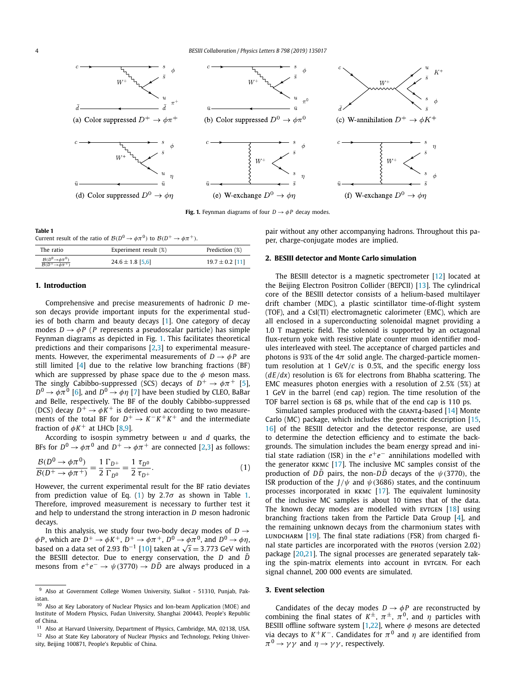<span id="page-3-0"></span>

**Fig. 1.** Feynman diagrams of four  $D \rightarrow \phi P$  decay modes.

**Table 1**

Current result of the ratio of  $\mathcal{B}(D^0 \to \phi \pi^0)$  to  $\mathcal{B}(D^+ \to \phi \pi^+)$ .

| The ratio                                                                   | Experiment result (%) | Prediction (%)      |
|-----------------------------------------------------------------------------|-----------------------|---------------------|
| $\mathcal{B}(D^0 \rightarrow \phi \pi^0)$<br>$B(D^+\rightarrow \phi \pi^+)$ | $24.6 \pm 1.8$ [5,6]  | $19.7 \pm 0.2$ [11] |

# **1. Introduction**

Comprehensive and precise measurements of hadronic *D* meson decays provide important inputs for the experimental studies of both charm and beauty decays [\[1\]](#page-6-0). One category of decay modes  $D \rightarrow \phi P$  (*P* represents a pseudoscalar particle) has simple Feynman diagrams as depicted in Fig. 1. This facilitates theoretical predictions and their comparisons [\[2,3\]](#page-6-0) to experimental measurements. However, the experimental measurements of  $D \rightarrow \phi P$  are still limited [\[4\]](#page-6-0) due to the relative low branching fractions (BF) which are suppressed by phase space due to the  $\phi$  meson mass. The singly Cabibbo-suppressed (SCS) decays of  $D^+ \rightarrow \phi \pi^+$  [\[5\]](#page-6-0),  $D^0 \rightarrow \phi \pi^0$  [\[6\]](#page-6-0), and  $D^0 \rightarrow \phi \eta$  [\[7\]](#page-6-0) have been studied by CLEO, BaBar and Belle, respectively. The BF of the doubly Cabibbo-suppressed (DCS) decay  $D^+ \rightarrow \phi K^+$  is derived out according to two measurements of the total BF for  $D^+ \rightarrow K^- K^+ K^+$  and the intermediate fraction of  $\phi K^+$  at LHCb [\[8,9\]](#page-6-0).

According to isospin symmetry between *u* and *d* quarks, the BFs for  $D^0 \rightarrow \phi \pi^0$  and  $D^+ \rightarrow \phi \pi^+$  are connected [\[2,3\]](#page-6-0) as follows:

$$
\frac{\mathcal{B}(D^0 \to \phi \pi^0)}{\mathcal{B}(D^+ \to \phi \pi^+)} = \frac{1}{2} \frac{\Gamma_{D^+}}{\Gamma_{D^0}} = \frac{1}{2} \frac{\tau_{D^0}}{\tau_{D^+}}.
$$
\n(1)

However, the current experimental result for the BF ratio deviates from prediction value of Eq. (1) by  $2.7\sigma$  as shown in Table 1. Therefore, improved measurement is necessary to further test it and help to understand the strong interaction in *D* meson hadronic decays.

In this analysis, we study four two-body decay modes of  $D \rightarrow$  $\phi$ *P*, which are  $D^+ \to \phi K^+$ ,  $D^+ \to \phi \pi^+$ ,  $D^0 \to \phi \pi^0$ , and  $D^0 \to \phi \eta$ , based on a data set of 2.93 fb<sup>-1</sup> [\[10\]](#page-6-0) taken at  $\sqrt{s}$  = 3.773 GeV with the BESIII detector. Due to energy conservation, the *D* and *D*¯ mesons from  $e^+e^-$  →  $\psi$ (3770) →  $D\overline{D}$  are always produced in a pair without any other accompanying hadrons. Throughout this paper, charge-conjugate modes are implied.

# **2. BESIII detector and Monte Carlo simulation**

The BESIII detector is a magnetic spectrometer [\[12\]](#page-6-0) located at the Beijing Electron Positron Collider (BEPCII) [\[13\]](#page-6-0). The cylindrical core of the BESIII detector consists of a helium-based multilayer drift chamber (MDC), a plastic scintillator time-of-flight system (TOF), and a CsI(Tl) electromagnetic calorimeter (EMC), which are all enclosed in a superconducting solenoidal magnet providing a 1.0 T magnetic field. The solenoid is supported by an octagonal flux-return yoke with resistive plate counter muon identifier modules interleaved with steel. The acceptance of charged particles and photons is 93% of the  $4\pi$  solid angle. The charged-particle momentum resolution at 1 GeV*/c* is 0*.*5%, and the specific energy loss (*dE/dx*) resolution is 6% for electrons from Bhabha scattering. The EMC measures photon energies with a resolution of 2*.*5% (5%) at 1 GeV in the barrel (end cap) region. The time resolution of the TOF barrel section is 68 ps, while that of the end cap is 110 ps.

Simulated samples produced with the GEANT4-based  $[14]$  Monte Carlo (MC) package, which includes the geometric description [\[15,](#page-6-0) [16\]](#page-6-0) of the BESIII detector and the detector response, are used to determine the detection efficiency and to estimate the backgrounds. The simulation includes the beam energy spread and initial state radiation (ISR) in the *e*+*e*− annihilations modelled with the generator  $KKMC$  [\[17\]](#page-6-0). The inclusive MC samples consist of the production of  $D\overline{D}$  pairs, the non- $D\overline{D}$  decays of the  $\psi$ (3770), the ISR production of the  $J/\psi$  and  $\psi$ (3686) states, and the continuum processes incorporated in kkmc [\[17\]](#page-6-0). The equivalent luminosity of the inclusive MC samples is about 10 times that of the data. The known decay modes are modelled with  $EVTGEN$  [\[18\]](#page-6-0) using branching fractions taken from the Particle Data Group [\[4\]](#page-6-0), and the remaining unknown decays from the charmonium states with LUNDCHARM  $[19]$ . The final state radiations (FSR) from charged final state particles are incorporated with the PHOTOS (version 2.02) package [\[20](#page-6-0)[,21\]](#page-7-0). The signal processes are generated separately taking the spin-matrix elements into account in EVTGEN. For each signal channel, 200 000 events are simulated.

#### **3. Event selection**

Candidates of the decay modes  $D \rightarrow \phi P$  are reconstructed by combining the final states of  $K^{\pm}$ ,  $\pi^{\pm}$ ,  $\pi^0$ , and  $\eta$  particles with BESIII offline software system [\[1](#page-6-0)[,22\]](#page-7-0), where *φ* mesons are detected via decays to  $K^+K^-$ . Candidates for  $\pi^0$  and  $\eta$  are identified from  $\pi^0 \rightarrow \gamma \gamma$  and  $\eta \rightarrow \gamma \gamma$ , respectively.

<sup>&</sup>lt;sup>9</sup> Also at Government College Women University, Sialkot - 51310, Punjab, Pakistan.

<sup>10</sup> Also at Key Laboratory of Nuclear Physics and Ion-beam Application (MOE) and Institute of Modern Physics, Fudan University, Shanghai 200443, People's Republic of China.

<sup>&</sup>lt;sup>11</sup> Also at Harvard University, Department of Physics, Cambridge, MA, 02138, USA.  $12$  Also at State Key Laboratory of Nuclear Physics and Technology, Peking University, Beijing 100871, People's Republic of China.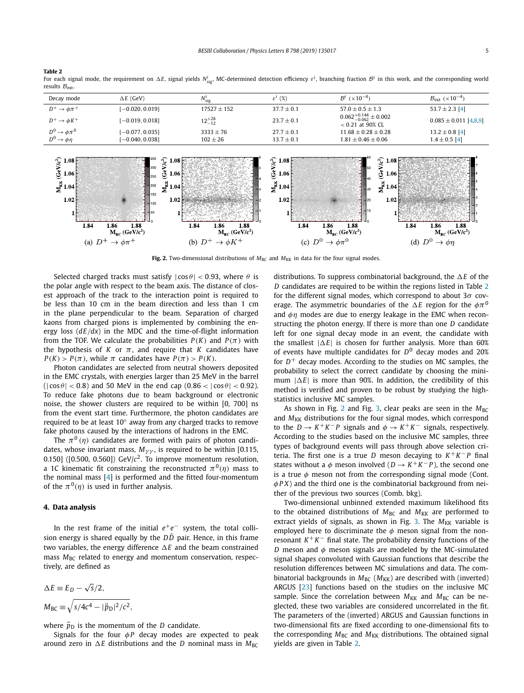<span id="page-4-0"></span>**Table 2**

For each signal mode, the requirement on  $\Delta E$ , signal yields  $N^i_{\rm sig}$ , MC-determined detection efficiency  $\varepsilon^i$  branching fraction  ${\cal B}^i$  in this work, and the corresponding world results  $B_{\text{ext}}$ .

| Decay mode                   | $\Delta E$ (GeV)  | $N_{\text{sig}}^l$ | $\varepsilon^l$ (%) | $B^{i}$ ( $\times 10^{-4}$ )                              | $B_{\text{ext}}$ (×10 <sup>-4</sup> ) |
|------------------------------|-------------------|--------------------|---------------------|-----------------------------------------------------------|---------------------------------------|
| $D^+ \rightarrow \phi \pi^+$ | $[-0.020, 0.019]$ | $17527 + 152$      | $37.7 \pm 0.1$      | $57.0 + 0.5 + 1.3$                                        | 53.7 $\pm$ 2.3 [4]                    |
| $D^+ \rightarrow \phi K^+$   | $[-0.019, 0.018]$ | $12^{+28}_{-12}$   | $23.7 \pm 0.1$      | $0.062^{+0.144}_{-0.062} \pm 0.002$<br>$< 0.21$ at 90% CL | $0.085 \pm 0.011$ [4,8.9]             |
| $D^0 \rightarrow \phi \pi^0$ | $[-0.077, 0.035]$ | $3333 \pm 76$      | $27.7 \pm 0.1$      | $11.68 + 0.28 + 0.28$                                     | $13.2 \pm 0.8$ [4]                    |
| $D^0 \rightarrow \phi \eta$  | $[-0.040, 0.038]$ | $102 \pm 26$       | $13.7 \pm 0.1$      | $1.81 \pm 0.46 \pm 0.06$                                  | $1.4 \pm 0.5$ [4]                     |
|                              |                   |                    |                     |                                                           |                                       |



**Fig. 2.** Two-dimensional distributions of  $M_{BC}$  and  $M_{KK}$  in data for the four signal modes.

Selected charged tracks must satisfy  $|\cos \theta|$  < 0.93, where  $\theta$  is the polar angle with respect to the beam axis. The distance of closest approach of the track to the interaction point is required to be less than 10 cm in the beam direction and less than 1 cm in the plane perpendicular to the beam. Separation of charged kaons from charged pions is implemented by combining the energy loss (*dE/dx*) in the MDC and the time-of-flight information from the TOF. We calculate the probabilities  $P(K)$  and  $P(\pi)$  with the hypothesis of *K* or  $\pi$ , and require that *K* candidates have  $P(K) > P(\pi)$ , while  $\pi$  candidates have  $P(\pi) > P(K)$ .

Photon candidates are selected from neutral showers deposited in the EMC crystals, with energies larger than 25 MeV in the barrel  $(|\cos \theta| < 0.8)$  and 50 MeV in the end cap  $(0.86 < |\cos \theta| < 0.92)$ . To reduce fake photons due to beam background or electronic noise, the shower clusters are required to be within [0, 700] ns from the event start time. Furthermore, the photon candidates are required to be at least 10◦ away from any charged tracks to remove fake photons caused by the interactions of hadrons in the EMC.

The  $\pi^{0}(\eta)$  candidates are formed with pairs of photon candidates, whose invariant mass,  $M_{\gamma\gamma}$ , is required to be within [0.115, 0.150] ( $[0.500, 0.560]$ ) GeV/ $c^2$ . To improve momentum resolution, a 1C kinematic fit constraining the reconstructed  $\pi^{0}(\eta)$  mass to the nominal mass [\[4\]](#page-6-0) is performed and the fitted four-momentum of the  $\pi^{0}(\eta)$  is used in further analysis.

# **4. Data analysis**

In the rest frame of the initial *e*+*e*− system, the total collision energy is shared equally by the  $D\bar{D}$  pair. Hence, in this frame two variables, the energy difference  *E* and the beam constrained mass  $M_{\text{BC}}$  related to energy and momentum conservation, respectively, are defined as

$$
\Delta E \equiv E_D - \sqrt{s}/2,
$$
  
\n
$$
M_{BC} \equiv \sqrt{s/4c^4 - |\vec{p}_D|^2/c^2},
$$

where  $\vec{p}_D$  is the momentum of the *D* candidate.

Signals for the four  $\phi P$  decay modes are expected to peak around zero in  $\Delta E$  distributions and the *D* nominal mass in  $M_{BC}$ 

distributions. To suppress combinatorial background, the  *E* of the *D* candidates are required to be within the regions listed in Table 2 for the different signal modes, which correspond to about 3*σ* coverage. The asymmetric boundaries of the  *E* region for the *φπ*<sup>0</sup> and *φη* modes are due to energy leakage in the EMC when reconstructing the photon energy. If there is more than one *D* candidate left for one signal decay mode in an event, the candidate with the smallest  $|\Delta E|$  is chosen for further analysis. More than 60% of events have multiple candidates for *D*<sup>0</sup> decay modes and 20% for  $D^+$  decay modes. According to the studies on MC samples, the probability to select the correct candidate by choosing the minimum  $|\Delta E|$  is more than 90%. In addition, the credibility of this method is verified and proven to be robust by studying the highstatistics inclusive MC samples.

As shown in Fig. 2 and Fig. [3,](#page-5-0) clear peaks are seen in the  $M_{BC}$ and  $M_{KK}$  distributions for the four signal modes, which correspond to the  $D \rightarrow K^+K^-P$  signals and  $\phi \rightarrow K^+K^-$  signals, respectively. According to the studies based on the inclusive MC samples, three types of background events will pass through above selection criteria. The first one is a true *D* meson decaying to *K* +*K* − *P* final states without a  $\phi$  meson involved ( $D \rightarrow K^+K^-P$ ), the second one is a true  $\phi$  meson not from the corresponding signal mode (Cont. *φP X*) and the third one is the combinatorial background from neither of the previous two sources (Comb. bkg).

Two-dimensional unbinned extended maximum likelihood fits to the obtained distributions of  $M_{BC}$  and  $M_{KK}$  are performed to extract yields of signals, as shown in Fig. [3.](#page-5-0) The  $M_{KK}$  variable is employed here to discriminate the *φ* meson signal from the nonresonant  $K^+K^-$  final state. The probability density functions of the *D* meson and *φ* meson signals are modeled by the MC-simulated signal shapes convoluted with Gaussian functions that describe the resolution differences between MC simulations and data. The combinatorial backgrounds in  $M_{BC}$  ( $M_{KK}$ ) are described with (inverted) ARGUS [\[23\]](#page-7-0) functions based on the studies on the inclusive MC sample. Since the correlation between  $M_{KK}$  and  $M_{BC}$  can be neglected, these two variables are considered uncorrelated in the fit. The parameters of the (inverted) ARGUS and Gaussian functions in two-dimensional fits are fixed according to one-dimensional fits to the corresponding  $M_{BC}$  and  $M_{KK}$  distributions. The obtained signal yields are given in Table 2.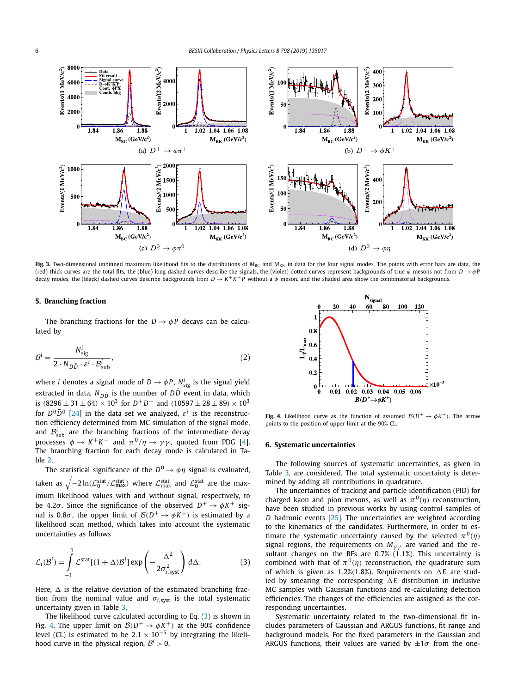<span id="page-5-0"></span>

Fig. 3. Two-dimensional unbinned maximum likelihood fits to the distributions of *M*<sub>BC</sub> and *M*<sub>KK</sub> in data for the four signal modes. The points with error bars are data, the (red) thick curves are the total fits, the (blue) long dashed curves describe the signals, the (violet) dotted curves represent backgrounds of true  $\phi$  mesons not from  $D \rightarrow \phi P$ decay modes, the (black) dashed curves describe backgrounds from  $D \to K^+ K^- P$  without a  $\phi$  meson, and the shaded area show the combinatorial backgrounds.

# **5. Branching fraction**

The branching fractions for the  $D \rightarrow \phi P$  decays can be calculated by

$$
\mathcal{B}^{i} = \frac{N_{\text{sig}}^{i}}{2 \cdot N_{D\bar{D}} \cdot \varepsilon^{i} \cdot \mathcal{B}_{\text{sub}}^{i}},\tag{2}
$$

where  $i$  denotes a signal mode of  $D \to \phi P$ ,  $N_{\text{sig}}^i$  is the signal yield extracted in data,  $N_{D\bar{D}}$  is the number of  $D\bar{D}$  event in data, which is  $(8296 \pm 31 \pm 64) \times 10^3$  for  $D^+D^-$  and  $(10597 \pm 28 \pm 89) \times 10^3$ for  $D^0\overline{D}^0$  [\[24\]](#page-7-0) in the data set we analyzed,  $\varepsilon^i$  is the reconstruction efficiency determined from MC simulation of the signal mode, and  $\mathcal{B}_{\text{sub}}^i$  are the branching fractions of the intermediate decay processes *ϕ* → *K*<sup>+</sup>*K*<sup>−</sup> and  $π<sup>0</sup>/η$  →  $γγ$ , quoted from PDG [\[4\]](#page-6-0). The branching fraction for each decay mode is calculated in Table [2.](#page-4-0)

The statistical significance of the  $D^0 \rightarrow \phi \eta$  signal is evaluated, taken as  $\sqrt{-2\ln(\mathcal{L}_0^{\rm stat}/\mathcal{L}_{\rm max}^{\rm stat})}$  where  $\mathcal{L}_{\rm max}^{\rm stat}$  and  $\mathcal{L}_0^{\rm stat}$  are the maximum likelihood values with and without signal, respectively, to be 4.2 $\sigma$ . Since the significance of the observed  $D^+ \rightarrow \phi K^+$  signal is 0.8 $\sigma$ , the upper limit of  $\mathcal{B}(D^+ \to \phi K^+)$  is estimated by a likelihood scan method, which takes into account the systematic uncertainties as follows

$$
\mathcal{L}_i(\mathcal{B}^i) = \int_{-1}^1 \mathcal{L}^{\text{stat}}[(1+\Delta)\mathcal{B}^i] \exp\left(-\frac{\Delta^2}{2\sigma_{i,\text{syst}}^2}\right) d\Delta. \tag{3}
$$

Here,  $\Delta$  is the relative deviation of the estimated branching fraction from the nominal value and  $\sigma_{i, syst}$  is the total systematic uncertainty given in Table [3.](#page-6-0)

The likelihood curve calculated according to Eq. (3) is shown in Fig. 4. The upper limit on  $B(D^+ \rightarrow \phi K^+)$  at the 90% confidence level (CL) is estimated to be  $2.1 \times 10^{-5}$  by integrating the likelihood curve in the physical region,  $B^i > 0$ .



**Fig. 4.** Likelihood curve as the function of assumed  $\mathcal{B}(D^+ \to \phi K^+)$ . The arrow points to the position of upper limit at the 90% CL.

# **6. Systematic uncertainties**

The following sources of systematic uncertainties, as given in Table [3,](#page-6-0) are considered. The total systematic uncertainty is determined by adding all contributions in quadrature.

The uncertainties of tracking and particle identification (PID) for charged kaon and pion mesons, as well as  $\pi^{0}(\eta)$  reconstruction, have been studied in previous works by using control samples of *D* hadronic events [\[25\]](#page-7-0). The uncertainties are weighted according to the kinematics of the candidates. Furthermore, in order to estimate the systematic uncertainty caused by the selected  $\pi^{0}(\eta)$ signal regions, the requirements on  $M_{\gamma\gamma}$  are varied and the resultant changes on the BFs are 0*.*7% (1*.*1%). This uncertainty is combined with that of  $\pi^{0}(\eta)$  reconstruction, the quadrature sum of which is given as 1.2%(1.8%). Requirements on  $\Delta E$  are studied by smearing the corresponding  $\Delta E$  distribution in inclusive MC samples with Gaussian functions and re-calculating detection efficiencies. The changes of the efficiencies are assigned as the corresponding uncertainties.

Systematic uncertainty related to the two-dimensional fit includes parameters of Gaussian and ARGUS functions, fit range and background models. For the fixed parameters in the Gaussian and ARGUS functions, their values are varied by  $\pm 1\sigma$  from the one-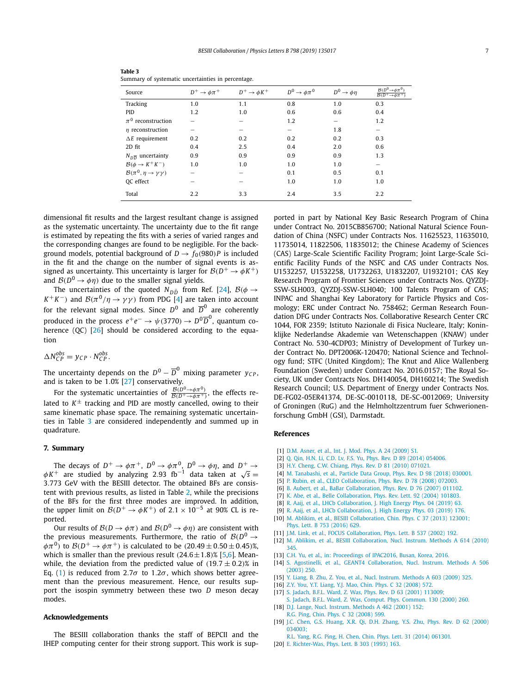| Source                                       | $D^+ \rightarrow \phi \pi^+$ | $D^+ \rightarrow \phi K^+$ | $D^0 \rightarrow \phi \pi^0$ | $D^0 \rightarrow \phi \eta$ | $B(D^0 \rightarrow \phi \pi^0)$<br>$B(D^+\rightarrow \phi \pi^+$ |
|----------------------------------------------|------------------------------|----------------------------|------------------------------|-----------------------------|------------------------------------------------------------------|
| Tracking                                     | 1.0                          | 1.1                        | 0.8                          | 1.0                         | 0.3                                                              |
| PID                                          | 1.2                          | 1.0                        | 0.6                          | 0.6                         | 0.4                                                              |
| $\pi^0$ reconstruction                       |                              |                            | 1.2                          |                             | 1.2                                                              |
| $\eta$ reconstruction                        |                              |                            |                              | 1.8                         |                                                                  |
| $\Delta E$ requirement                       | 0.2                          | 0.2                        | 0.2                          | 0.2                         | 0.3                                                              |
| 2D fit                                       | 0.4                          | 2.5                        | 0.4                          | 2.0                         | 0.6                                                              |
| $N_{D\overline{D}}$ uncertainty              | 0.9                          | 0.9                        | 0.9                          | 0.9                         | 1.3                                                              |
| $\mathcal{B}(\phi \to K^+ K^-)$              | 1.0                          | 1.0                        | 1.0                          | 1.0                         |                                                                  |
| $\mathcal{B}(\pi^0, \eta \to \gamma \gamma)$ |                              |                            | 0.1                          | 0.5                         | 0.1                                                              |
| OC effect                                    |                              |                            | 1.0                          | 1.0                         | 1.0                                                              |
| Total                                        | 2.2                          | 3.3                        | 2.4                          | 3.5                         | 2.2                                                              |

<span id="page-6-0"></span>

| Table 3                                            |
|----------------------------------------------------|
| Summary of systematic uncertainties in percentage. |

dimensional fit results and the largest resultant change is assigned as the systematic uncertainty. The uncertainty due to the fit range is estimated by repeating the fits with a series of varied ranges and the corresponding changes are found to be negligible. For the background models, potential background of  $D \rightarrow f_0(980)P$  is included in the fit and the change on the number of signal events is assigned as uncertainty. This uncertainty is larger for  $\mathcal{B}(D^+ \to \phi K^+)$ and  $\mathcal{B}(D^0 \to \phi \eta)$  due to the smaller signal yields.

The uncertainties of the quoted  $N_{D\bar{D}}$  from Ref. [\[24\]](#page-7-0),  $\mathcal{B}(\phi \rightarrow$ *K*<sup>+</sup>*K*<sup>-</sup>) and  $\mathcal{B}(\pi^0/\eta \to \gamma\gamma)$  from PDG [4] are taken into account for the relevant signal modes. Since  $D^0$  and  $\overline{D}^0$  are coherently produced in the process  $e^+e^- \rightarrow \psi(3770) \rightarrow D^0\overline{D}^0$ , quantum co-herence (QC) [\[26\]](#page-7-0) should be considered according to the equation

$$
\Delta N_{CP}^{obs} = y_{CP} \cdot N_{CP}^{obs}.
$$

The uncertainty depends on the  $D^0 - \overline{D}^0$  mixing parameter  $y_{CP}$ , and is taken to be 1*.*0% [\[27\]](#page-7-0) conservatively.

For the systematic uncertainties of  $\frac{\mathcal{B}(D^0 \to \phi \pi^0)}{\mathcal{B}(D^+ \to \phi \pi^+)}$ , the effects related to  $K^{\pm}$  tracking and PID are mostly cancelled, owing to their same kinematic phase space. The remaining systematic uncertainties in Table 3 are considered independently and summed up in quadrature.

# **7. Summary**

The decays of  $D^+ \to \phi \pi^+$ ,  $D^0 \to \phi \pi^0$ ,  $D^0 \to \phi \eta$ , and  $D^+ \to \phi K^+$  are studied by analyzing 2.93 fb<sup>-1</sup> data taken at √*s* = 3*.*773 GeV with the BESIII detector. The obtained BFs are consistent with previous results, as listed in Table [2,](#page-4-0) while the precisions of the BFs for the first three modes are improved. In addition, the upper limit on  $\mathcal{B}(D^+ \to \phi K^+)$  of 2.1 × 10<sup>-5</sup> at 90% CL is reported.

Our results of  $\mathcal{B}(D \to \phi \pi)$  and  $\mathcal{B}(D^0 \to \phi \eta)$  are consistent with the previous measurements. Furthermore, the ratio of  $B(D^0 \rightarrow$ *φπ*<sup>0</sup>) to *B*(*D*<sup>+</sup> → *φπ*<sup>+</sup>) is calculated to be  $(20.49 \pm 0.50 \pm 0.45)$ %, which is smaller than the previous result  $(24.6 \pm 1.8)$ % [5,6]. Meanwhile, the deviation from the predicted value of  $(19.7 \pm 0.2)$ % in Eq. [\(1\)](#page-3-0) is reduced from 2.7 $\sigma$  to 1.2 $\sigma$ , which shows better agreement than the previous measurement. Hence, our results support the isospin symmetry between these two *D* meson decay modes.

# **Acknowledgements**

The BESIII collaboration thanks the staff of BEPCII and the IHEP computing center for their strong support. This work is supported in part by National Key Basic Research Program of China under Contract No. 2015CB856700; National Natural Science Foundation of China (NSFC) under Contracts Nos. 11625523, 11635010, 11735014, 11822506, 11835012; the Chinese Academy of Sciences (CAS) Large-Scale Scientific Facility Program; Joint Large-Scale Scientific Facility Funds of the NSFC and CAS under Contracts Nos. U1532257, U1532258, U1732263, U1832207, U1932101; CAS Key Research Program of Frontier Sciences under Contracts Nos. QYZDJ-SSW-SLH003, QYZDJ-SSW-SLH040; 100 Talents Program of CAS; INPAC and Shanghai Key Laboratory for Particle Physics and Cosmology; ERC under Contract No. 758462; German Research Foundation DFG under Contracts Nos. Collaborative Research Center CRC 1044, FOR 2359; Istituto Nazionale di Fisica Nucleare, Italy; Koninklijke Nederlandse Akademie van Wetenschappen (KNAW) under Contract No. 530-4CDP03; Ministry of Development of Turkey under Contract No. DPT2006K-120470; National Science and Technology fund; STFC (United Kingdom); The Knut and Alice Wallenberg Foundation (Sweden) under Contract No. 2016.0157; The Royal Society, UK under Contracts Nos. DH140054, DH160214; The Swedish Research Council; U.S. Department of Energy under Contracts Nos. DE-FG02-05ER41374, DE-SC-0010118, DE-SC-0012069; University of Groningen (RuG) and the Helmholtzzentrum fuer Schwerionenforschung GmbH (GSI), Darmstadt.

# **References**

- [1] D.M. Asner, et al., Int. J. Mod. Phys. A 24 [\(2009\)](http://refhub.elsevier.com/S0370-2693(19)30739-7/bib3230303962657370687973s1) S1.
- [2] Q. Qin, H.N. Li, C.D. Lv, F.S. Yu, Phys. Rev. D 89 (2014) [054006.](http://refhub.elsevier.com/S0370-2693(19)30739-7/bib3230313471696E71696Es1)
- [3] H.Y. Cheng, C.W. Chiang, Phys. Rev. D 81 (2010) [071021.](http://refhub.elsevier.com/S0370-2693(19)30739-7/bib32303130636879s1)
- [4] M. [Tanabashi,](http://refhub.elsevier.com/S0370-2693(19)30739-7/bib706467s1) et al., Particle Data Group, Phys. Rev. D 98 (2018) 030001.
- [5] P. Rubin, et al., CLEO [Collaboration,](http://refhub.elsevier.com/S0370-2693(19)30739-7/bib32303038706869706970s1) Phys. Rev. D 78 (2008) 072003.
- [6] B. Aubert, et al., BaBar [Collaboration,](http://refhub.elsevier.com/S0370-2693(19)30739-7/bib32303037706869706930s1) Phys. Rev. D 76 (2007) 011102.
- [7] K. Abe, et al., Belle [Collaboration,](http://refhub.elsevier.com/S0370-2693(19)30739-7/bib32303034706869657461s1) Phys. Rev. Lett. 92 (2004) 101803.
- [8] R. Aaij, et al., LHCb [Collaboration,](http://refhub.elsevier.com/S0370-2693(19)30739-7/bib323031397068696Bs1) J. High Energy Phys. 04 (2019) 63.
- [9] R. Aaij, et al., LHCb [Collaboration,](http://refhub.elsevier.com/S0370-2693(19)30739-7/bib323031396B6B6Bs1) J. High Energy Phys. 03 (2019) 176.
- [10] M. Ablikim, et al., BESIII [Collaboration,](http://refhub.elsevier.com/S0370-2693(19)30739-7/bib6C756D696E6F73697479s1) Chin. Phys. C 37 (2013) 123001; Phys. Lett. B 753 [\(2016\)](http://refhub.elsevier.com/S0370-2693(19)30739-7/bib6C756D696E6F73697479s2) 629.
- [11] J.M. Link, et al., FOCUS [Collaboration,](http://refhub.elsevier.com/S0370-2693(19)30739-7/bib6C69666574696D65s1) Phys. Lett. B 537 (2002) 192.
- [12] M. Ablikim, et al., BESIII [Collaboration,](http://refhub.elsevier.com/S0370-2693(19)30739-7/bib41626C696B696D3A323030396161s1) Nucl. Instrum. Methods A 614 (2010) [345.](http://refhub.elsevier.com/S0370-2693(19)30739-7/bib41626C696B696D3A323030396161s1)
- [13] C.H. Yu, et al., in: [Proceedings](http://refhub.elsevier.com/S0370-2693(19)30739-7/bib59753A49504143323031362D545559413031s1) of IPAC2016, Busan, Korea, 2016.
- [14] S. Agostinelli, et al., GEANT4 [Collaboration,](http://refhub.elsevier.com/S0370-2693(19)30739-7/bib6765616E7434s1) Nucl. Instrum. Methods A 506 [\(2003\)](http://refhub.elsevier.com/S0370-2693(19)30739-7/bib6765616E7434s1) 250.
- [15] Y. Liang, B. Zhu, Z. You, et al., Nucl. Instrum. [Methods](http://refhub.elsevier.com/S0370-2693(19)30739-7/bib67656F31s1) A 603 (2009) 325.
- [16] Z.Y. You, Y.T. Liang, Y.J. Mao, Chin. Phys. C 32 [\(2008\)](http://refhub.elsevier.com/S0370-2693(19)30739-7/bib67656F32s1) 572.
- [17] S. Jadach, B.F.L. Ward, Z. Was, Phys. Rev. D 63 (2001) [113009;](http://refhub.elsevier.com/S0370-2693(19)30739-7/bib7265663A6B6B6D63s1)
- S. Jadach, B.F.L. Ward, Z. Was, Comput. Phys. [Commun.](http://refhub.elsevier.com/S0370-2693(19)30739-7/bib7265663A6B6B6D63s2) 130 (2000) 260. [18] D.J. Lange, Nucl. Instrum. [Methods](http://refhub.elsevier.com/S0370-2693(19)30739-7/bib7265663A65767467656Es1) A 462 (2001) 152;
- R.G. Ping, Chin. Phys. C 32 [\(2008\)](http://refhub.elsevier.com/S0370-2693(19)30739-7/bib7265663A65767467656Es2) 599.
- [19] J.C. Chen, G.S. [Huang,](http://refhub.elsevier.com/S0370-2693(19)30739-7/bib7265663A6C756E64636861726Ds1) X.R. Qi, D.H. Zhang, Y.S. Zhu, Phys. Rev. D 62 (2000) [034003;](http://refhub.elsevier.com/S0370-2693(19)30739-7/bib7265663A6C756E64636861726Ds1)
- R.L. Yang, R.G. Ping, H. Chen, Chin. Phys. Lett. 31 (2014) [061301.](http://refhub.elsevier.com/S0370-2693(19)30739-7/bib7265663A6C756E64636861726Ds2)
- [20] E. [Richter-Was,](http://refhub.elsevier.com/S0370-2693(19)30739-7/bib70686F746F73s1) Phys. Lett. B 303 (1993) 163.